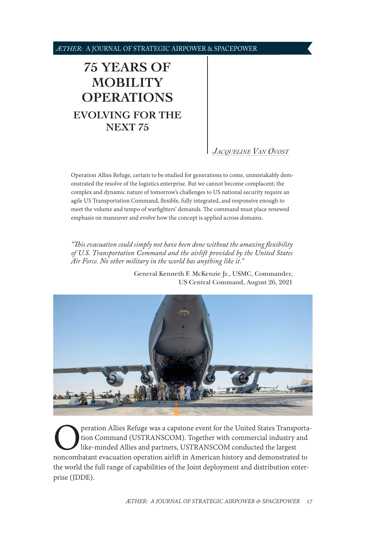<span id="page-0-1"></span>*ÆTHER:* A JOURNAL OF STRATEGIC AIRPOWER & SPACEPOWER

# **[75 YEARS OF](#page-0-0)  [MOBILITY](#page-0-0)  [OPERATIONS](#page-0-0) [EVOLVING FOR THE](#page-0-0) [NEXT 75](#page-0-0)**

# *[Jacqueline Van Ovost](#page-4-0)*

Operation Allies Refuge, certain to be studied for generations to come, unmistakably demonstrated the resolve of the logistics enterprise. But we cannot become complacent; the complex and dynamic nature of tomorrow's challenges to US national security require an agile US Transportation Command, flexible, fully integrated, and responsive enough to meet the volume and tempo of warfighters' demands. The command must place renewed emphasis on maneuver and evolve how the concept is applied across domains.

*"This evacuation could simply not have been done without the amazing flexibility of U.S. Transportation Command and the airlift provided by the United States Air Force. No other military in the world has anything like it."*

> General Kenneth F. McKenzie Jr., USMC, Commander, US Central Command, August 26, 2021



<span id="page-0-0"></span>**Operation Allies Refuge was a capstone event for the United States Transportation Command (USTRANSCOM). Together with commercial industry and like-minded Allies and partners, USTRANSCOM conducted the largest noncombatant** tion Command (USTRANSCOM). Together with commercial industry and like-minded Allies and partners, USTRANSCOM conducted the largest the world the full range of capabilities of the Joint deployment and distribution enterprise (JDDE).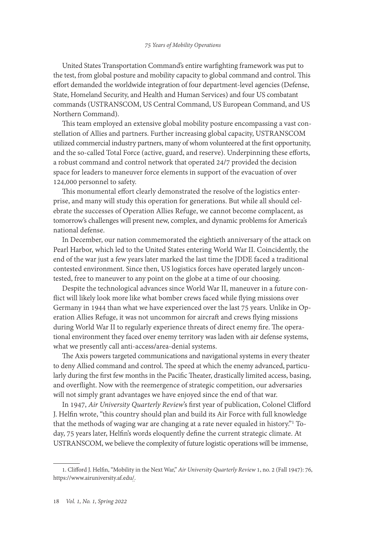#### *75 Years of Mobility Operations*

United States Transportation Command's entire warfighting framework was put to the test, from global posture and mobility capacity to global command and control. This effort demanded the worldwide integration of four department-level agencies (Defense, State, Homeland Security, and Health and Human Services) and four US combatant commands (USTRANSCOM, US Central Command, US European Command, and US Northern Command).

This team employed an extensive global mobility posture encompassing a vast constellation of Allies and partners. Further increasing global capacity, USTRANSCOM utilized commercial industry partners, many of whom volunteered at the first opportunity, and the so-called Total Force (active, guard, and reserve). Underpinning these efforts, a robust command and control network that operated 24/7 provided the decision space for leaders to maneuver force elements in support of the evacuation of over 124,000 personnel to safety.

This monumental effort clearly demonstrated the resolve of the logistics enterprise, and many will study this operation for generations. But while all should celebrate the successes of Operation Allies Refuge, we cannot become complacent, as tomorrow's challenges will present new, complex, and dynamic problems for America's national defense.

In December, our nation commemorated the eightieth anniversary of the attack on Pearl Harbor, which led to the United States entering World War II. Coincidently, the end of the war just a few years later marked the last time the JDDE faced a traditional contested environment. Since then, US logistics forces have operated largely uncontested, free to maneuver to any point on the globe at a time of our choosing.

Despite the technological advances since World War II, maneuver in a future conflict will likely look more like what bomber crews faced while flying missions over Germany in 1944 than what we have experienced over the last 75 years. Unlike in Operation Allies Refuge, it was not uncommon for aircraft and crews flying missions during World War II to regularly experience threats of direct enemy fire. The operational environment they faced over enemy territory was laden with air defense systems, what we presently call anti-access/area-denial systems.

The Axis powers targeted communications and navigational systems in every theater to deny Allied command and control. The speed at which the enemy advanced, particularly during the first few months in the Pacific Theater, drastically limited access, basing, and overflight. Now with the reemergence of strategic competition, our adversaries will not simply grant advantages we have enjoyed since the end of that war.

In 1947, *Air University Quarterly Review*'s first year of publication, Colonel Clifford J. Helfin wrote, "this country should plan and build its Air Force with full knowledge that the methods of waging war are changing at a rate never equaled in history."<sup>1</sup> Today, 75 years later, Helfin's words eloquently define the current strategic climate. At USTRANSCOM, we believe the complexity of future logistic operations will be immense,

<sup>1.</sup> Clifford J. Helfin, "Mobility in the Next War," *Air University Quarterly Review* 1, no. 2 (Fall 1947): 76, [https://www.airuniversity.af.edu/.](https://www.airuniversity.af.edu/Portals/10/ASPJ/journals/1947_Vol01_No1-4/1947_Vol1_No2.pdf)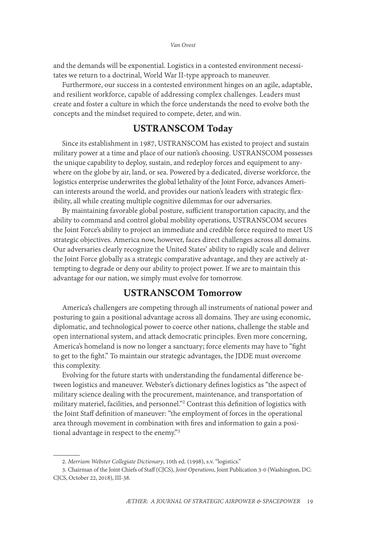#### *Van Ovost*

and the demands will be exponential. Logistics in a contested environment necessitates we return to a doctrinal, World War II-type approach to maneuver.

Furthermore, our success in a contested environment hinges on an agile, adaptable, and resilient workforce, capable of addressing complex challenges. Leaders must create and foster a culture in which the force understands the need to evolve both the concepts and the mindset required to compete, deter, and win.

# USTRANSCOM Today

Since its establishment in 1987, USTRANSCOM has existed to project and sustain military power at a time and place of our nation's choosing. USTRANSCOM possesses the unique capability to deploy, sustain, and redeploy forces and equipment to anywhere on the globe by air, land, or sea. Powered by a dedicated, diverse workforce, the logistics enterprise underwrites the global lethality of the Joint Force, advances American interests around the world, and provides our nation's leaders with strategic flexibility, all while creating multiple cognitive dilemmas for our adversaries.

By maintaining favorable global posture, sufficient transportation capacity, and the ability to command and control global mobility operations, USTRANSCOM secures the Joint Force's ability to project an immediate and credible force required to meet US strategic objectives. America now, however, faces direct challenges across all domains. Our adversaries clearly recognize the United States' ability to rapidly scale and deliver the Joint Force globally as a strategic comparative advantage, and they are actively attempting to degrade or deny our ability to project power. If we are to maintain this advantage for our nation, we simply must evolve for tomorrow.

## USTRANSCOM Tomorrow

America's challengers are competing through all instruments of national power and posturing to gain a positional advantage across all domains. They are using economic, diplomatic, and technological power to coerce other nations, challenge the stable and open international system, and attack democratic principles. Even more concerning, America's homeland is now no longer a sanctuary; force elements may have to "fight to get to the fight." To maintain our strategic advantages, the JDDE must overcome this complexity.

Evolving for the future starts with understanding the fundamental difference between logistics and maneuver. Webster's dictionary defines logistics as "the aspect of military science dealing with the procurement, maintenance, and transportation of military materiel, facilities, and personnel."2 Contrast this definition of logistics with the Joint Staff definition of maneuver: "the employment of forces in the operational area through movement in combination with fires and information to gain a positional advantage in respect to the enemy."3

<sup>2.</sup> *Merriam Webster Collegiate Dictionary*, 10th ed. (1998), s.v. "logistics."

<sup>3.</sup> Chairman of the Joint Chiefs of Staff (CJCS), *Joint Operations*, Joint Publication 3-0 (Washington, DC: CJCS, October 22, 2018), III-38.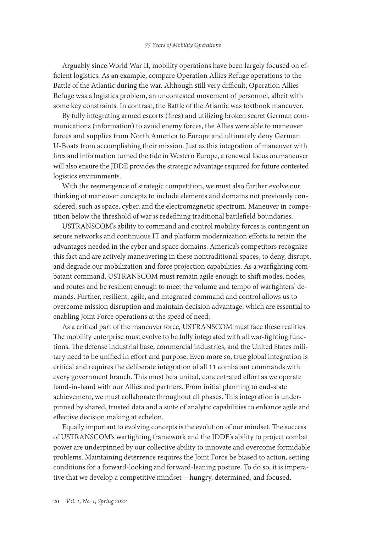Arguably since World War II, mobility operations have been largely focused on efficient logistics. As an example, compare Operation Allies Refuge operations to the Battle of the Atlantic during the war. Although still very difficult, Operation Allies Refuge was a logistics problem, an uncontested movement of personnel, albeit with some key constraints. In contrast, the Battle of the Atlantic was textbook maneuver.

By fully integrating armed escorts (fires) and utilizing broken secret German communications (information) to avoid enemy forces, the Allies were able to maneuver forces and supplies from North America to Europe and ultimately deny German U-Boats from accomplishing their mission. Just as this integration of maneuver with fires and information turned the tide in Western Europe, a renewed focus on maneuver will also ensure the JDDE provides the strategic advantage required for future contested logistics environments.

With the reemergence of strategic competition, we must also further evolve our thinking of maneuver concepts to include elements and domains not previously considered, such as space, cyber, and the electromagnetic spectrum. Maneuver in competition below the threshold of war is redefining traditional battlefield boundaries.

USTRANSCOM's ability to command and control mobility forces is contingent on secure networks and continuous IT and platform modernization efforts to retain the advantages needed in the cyber and space domains. America's competitors recognize this fact and are actively maneuvering in these nontraditional spaces, to deny, disrupt, and degrade our mobilization and force projection capabilities. As a warfighting combatant command, USTRANSCOM must remain agile enough to shift modes, nodes, and routes and be resilient enough to meet the volume and tempo of warfighters' demands. Further, resilient, agile, and integrated command and control allows us to overcome mission disruption and maintain decision advantage, which are essential to enabling Joint Force operations at the speed of need.

As a critical part of the maneuver force, USTRANSCOM must face these realities. The mobility enterprise must evolve to be fully integrated with all war-fighting functions. The defense industrial base, commercial industries, and the United States military need to be unified in effort and purpose. Even more so, true global integration is critical and requires the deliberate integration of all 11 combatant commands with every government branch. This must be a united, concentrated effort as we operate hand-in-hand with our Allies and partners. From initial planning to end-state achievement, we must collaborate throughout all phases. This integration is underpinned by shared, trusted data and a suite of analytic capabilities to enhance agile and effective decision making at echelon.

Equally important to evolving concepts is the evolution of our mindset. The success of USTRANSCOM's warfighting framework and the JDDE's ability to project combat power are underpinned by our collective ability to innovate and overcome formidable problems. Maintaining deterrence requires the Joint Force be biased to action, setting conditions for a forward-looking and forward-leaning posture. To do so, it is imperative that we develop a competitive mindset—hungry, determined, and focused.